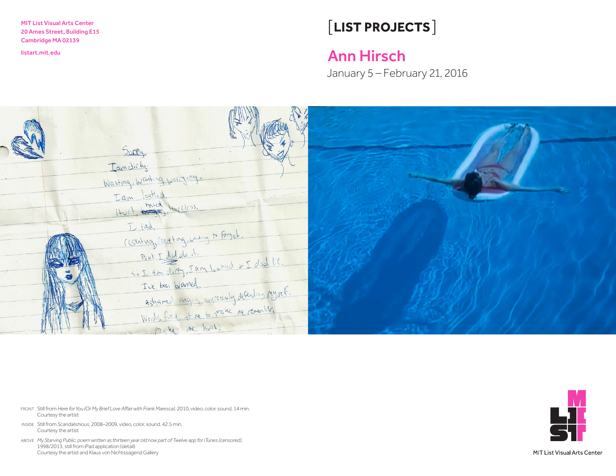MIT List Visual Arts Center 20 Ames Street, Building E15 Cambridge MA 02139

# [LIST PROJECTS]

## <listart.mit.edu>Ann Hirsch

January 5 – February 21, 2016



- FRONT Still from *Here forYou (Or My Brief Love Affairwith Frank Maresca)*, 2010, video, color, sound, 14 min. Courtesy the artist
- INSIDE Still from *Scandalishious*, 2008–2009, video, color, sound, 42.5 min. Courtesy the artist
- ABOVE *My Starving Public, poem written as thirteen year old now part of Twelve app for iTunes (censored)*, 1998/2013, still from iPad application (detail) Courtesy the artist and Klaus von Nichtssagend Gallery